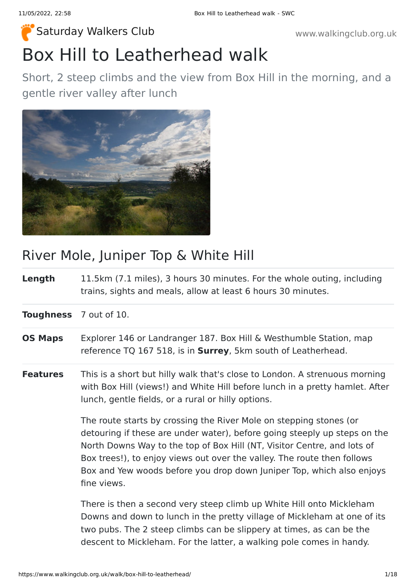# Box Hill to Leatherhead walk [Saturday Walkers Club](https://www.walkingclub.org.uk/) **Walkers Club** www.walkingclub.org.uk

Short, 2 steep climbs and the view from Box Hill in the morning, and a gentle river valley after lunch



### River Mole, Juniper Top & White Hill

**Length** 11.5km (7.1 miles), 3 hours 30 minutes. For the whole outing, including trains, sights and meals, allow at least 6 hours 30 minutes.

**Toughness** 7 out of 10.

- **OS Maps** Explorer 146 or Landranger 187. Box Hill & Westhumble Station, map reference TQ 167 518, is in **Surrey**, 5km south of Leatherhead.
- **Features** This is a short but hilly walk that's close to London. A strenuous morning with Box Hill (views!) and White Hill before lunch in a pretty hamlet. After lunch, gentle fields, or a rural or hilly options.

The route starts by crossing the River Mole on stepping stones (or detouring if these are under water), before going steeply up steps on the North Downs Way to the top of Box Hill (NT, Visitor Centre, and lots of Box trees!), to enjoy views out over the valley. The route then follows Box and Yew woods before you drop down Juniper Top, which also enjoys fine views.

There is then a second very steep climb up White Hill onto Mickleham Downs and down to lunch in the pretty village of Mickleham at one of its two pubs. The 2 steep climbs can be slippery at times, as can be the descent to Mickleham. For the latter, a walking pole comes in handy.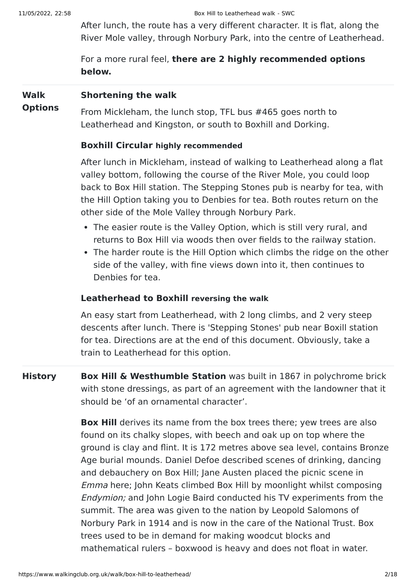After lunch, the route has a very different character. It is flat, along the River Mole valley, through Norbury Park, into the centre of Leatherhead.

For a more rural feel, **there are 2 highly recommended options below.**

#### **Walk Shortening the walk**

**Options** From Mickleham, the lunch stop, TFL bus #465 goes north to Leatherhead and Kingston, or south to Boxhill and Dorking.

#### **Boxhill Circular highly recommended**

After lunch in Mickleham, instead of walking to Leatherhead along a flat valley bottom, following the course of the River Mole, you could loop back to Box Hill station. The Stepping Stones pub is nearby for tea, with the Hill Option taking you to Denbies for tea. Both routes return on the other side of the Mole Valley through Norbury Park.

- The easier route is the Valley Option, which is still very rural, and returns to Box Hill via woods then over fields to the railway station.
- The harder route is the Hill Option which climbs the ridge on the other side of the valley, with fine views down into it, then continues to Denbies for tea.

#### **Leatherhead to Boxhill reversing the walk**

An easy start from Leatherhead, with 2 long climbs, and 2 very steep descents after lunch. There is 'Stepping Stones' pub near Boxill station for tea. Directions are at the end of this document. Obviously, take a train to Leatherhead for this option.

**History Box Hill & Westhumble Station** was built in 1867 in polychrome brick with stone dressings, as part of an agreement with the landowner that it should be 'of an ornamental character'.

> **Box Hill** derives its name from the box trees there; yew trees are also found on its chalky slopes, with beech and oak up on top where the ground is clay and flint. It is 172 metres above sea level, contains Bronze Age burial mounds. Daniel Defoe described scenes of drinking, dancing and debauchery on Box Hill; Jane Austen placed the picnic scene in Emma here; John Keats climbed Box Hill by moonlight whilst composing Endymion; and John Logie Baird conducted his TV experiments from the summit. The area was given to the nation by Leopold Salomons of Norbury Park in 1914 and is now in the care of the National Trust. Box trees used to be in demand for making woodcut blocks and mathematical rulers – boxwood is heavy and does not float in water.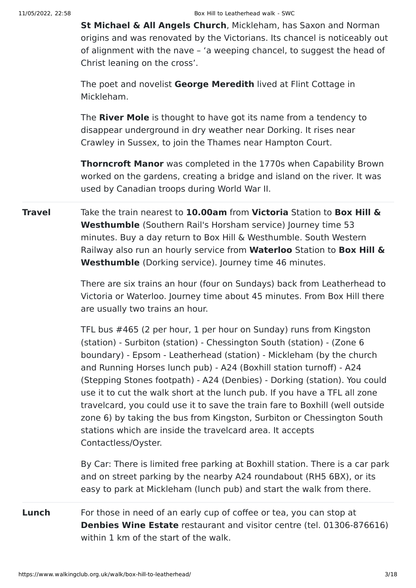**St Michael & All Angels Church**, Mickleham, has Saxon and Norman origins and was renovated by the Victorians. Its chancel is noticeably out of alignment with the nave – 'a weeping chancel, to suggest the head of Christ leaning on the cross'.

The poet and novelist **George Meredith** lived at Flint Cottage in Mickleham.

The **River Mole** is thought to have got its name from a tendency to disappear underground in dry weather near Dorking. It rises near Crawley in Sussex, to join the Thames near Hampton Court.

**Thorncroft Manor** was completed in the 1770s when Capability Brown worked on the gardens, creating a bridge and island on the river. It was used by Canadian troops during World War II.

**Travel** Take the train nearest to **10.00am** from **Victoria** Station to **Box Hill & Westhumble** (Southern Rail's Horsham service) Journey time 53 minutes. Buy a day return to Box Hill & Westhumble. South Western Railway also run an hourly service from **Waterloo** Station to **Box Hill & Westhumble** (Dorking service). Journey time 46 minutes.

> There are six trains an hour (four on Sundays) back from Leatherhead to Victoria or Waterloo. Journey time about 45 minutes. From Box Hill there are usually two trains an hour.

> TFL bus #465 (2 per hour, 1 per hour on Sunday) runs from Kingston (station) - Surbiton (station) - Chessington South (station) - (Zone 6 boundary) - Epsom - Leatherhead (station) - Mickleham (by the church and Running Horses lunch pub) - A24 (Boxhill station turnoff) - A24 (Stepping Stones footpath) - A24 (Denbies) - Dorking (station). You could use it to cut the walk short at the lunch pub. If you have a TFL all zone travelcard, you could use it to save the train fare to Boxhill (well outside zone 6) by taking the bus from Kingston, Surbiton or Chessington South stations which are inside the travelcard area. It accepts Contactless/Oyster.

> By Car: There is limited free parking at Boxhill station. There is a car park and on street parking by the nearby A24 roundabout (RH5 6BX), or its easy to park at Mickleham (lunch pub) and start the walk from there.

**Lunch** For those in need of an early cup of coffee or tea, you can stop at **Denbies Wine Estate** restaurant and visitor centre (tel. 01306-876616) within 1 km of the start of the walk.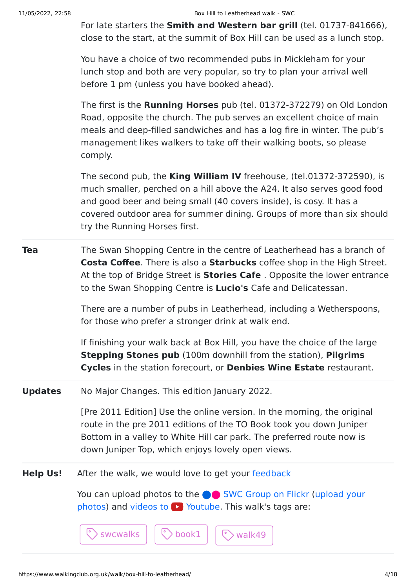For late starters the **Smith and Western bar grill** (tel. 01737-841666), close to the start, at the summit of Box Hill can be used as a lunch stop.

You have a choice of two recommended pubs in Mickleham for your lunch stop and both are very popular, so try to plan your arrival well before 1 pm (unless you have booked ahead).

The first is the **Running Horses** pub (tel. 01372-372279) on Old London Road, opposite the church. The pub serves an excellent choice of main meals and deep-filled sandwiches and has a log fire in winter. The pub's management likes walkers to take off their walking boots, so please comply.

The second pub, the **King William IV** freehouse, (tel.01372-372590), is much smaller, perched on a hill above the A24. It also serves good food and good beer and being small (40 covers inside), is cosy. It has a covered outdoor area for summer dining. Groups of more than six should try the Running Horses first.

**Tea** The Swan Shopping Centre in the centre of Leatherhead has a branch of **Costa Coffee**. There is also a **Starbucks** coffee shop in the High Street. At the top of Bridge Street is **Stories Cafe** . Opposite the lower entrance to the Swan Shopping Centre is **Lucio's** Cafe and Delicatessan.

> There are a number of pubs in Leatherhead, including a Wetherspoons, for those who prefer a stronger drink at walk end.

> If finishing your walk back at Box Hill, you have the choice of the large **Stepping Stones pub** (100m downhill from the station), **Pilgrims Cycles** in the station forecourt, or **Denbies Wine Estate** restaurant.

**Updates** No Major Changes. This edition January 2022.

[Pre 2011 Edition] Use the online version. In the morning, the original route in the pre 2011 editions of the TO Book took you down Juniper Bottom in a valley to White Hill car park. The preferred route now is down Juniper Top, which enjoys lovely open views.

**Help Us!** After the walk, we would love to get your [feedback](https://www.walkingclub.org.uk/walk/box-hill-to-leatherhead/comments.html)

You can upload photos to the **integrat C** [SWC Group on Flickr](http://www.flickr.com/groups/swc) (upload your photos) and videos to  $\blacktriangleright$  Youtube. This walk's tags are:

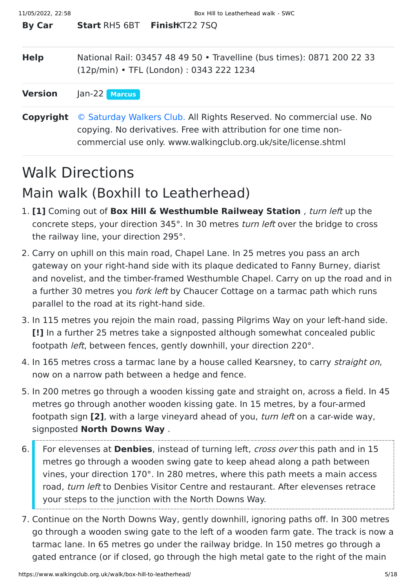| <b>By Car</b>  | <b>Start RH5 6BT FinishKT22 7SQ</b>                                                                                                                                                                       |  |
|----------------|-----------------------------------------------------------------------------------------------------------------------------------------------------------------------------------------------------------|--|
| <b>Help</b>    | National Rail: 03457 48 49 50 • Travelline (bus times): 0871 200 22 33<br>(12p/min) • TFL (London) : 0343 222 1234                                                                                        |  |
| <b>Version</b> | Jan-22 Marcus                                                                                                                                                                                             |  |
| Copyright      | © Saturday Walkers Club. All Rights Reserved. No commercial use. No<br>copying. No derivatives. Free with attribution for one time non-<br>commercial use only. www.walkingclub.org.uk/site/license.shtml |  |

## Walk Directions

### Main walk (Boxhill to Leatherhead)

- 1. **[1]** Coming out of **Box Hill & Westhumble Railweay Station** , turn left up the concrete steps, your direction 345°. In 30 metres turn left over the bridge to cross the railway line, your direction 295°.
- 2. Carry on uphill on this main road, Chapel Lane. In 25 metres you pass an arch gateway on your right-hand side with its plaque dedicated to Fanny Burney, diarist and novelist, and the timber-framed Westhumble Chapel. Carry on up the road and in a further 30 metres you *fork left* by Chaucer Cottage on a tarmac path which runs parallel to the road at its right-hand side.
- 3. In 115 metres you rejoin the main road, passing Pilgrims Way on your left-hand side. **[!]** In a further 25 metres take a signposted although somewhat concealed public footpath *left*, between fences, gently downhill, your direction 220°.
- 4. In 165 metres cross a tarmac lane by a house called Kearsney, to carry straight on, now on a narrow path between a hedge and fence.
- 5. In 200 metres go through a wooden kissing gate and straight on, across a field. In 45 metres go through another wooden kissing gate. In 15 metres, by a four-armed footpath sign **[2]**, with a large vineyard ahead of you, turn left on a car-wide way, signposted **North Downs Way** .
- 6. For elevenses at **Denbies**, instead of turning left, cross over this path and in 15 metres go through a wooden swing gate to keep ahead along a path between vines, your direction 170°. In 280 metres, where this path meets a main access road, turn left to Denbies Visitor Centre and restaurant. After elevenses retrace your steps to the junction with the North Downs Way.
- 7. Continue on the North Downs Way, gently downhill, ignoring paths off. In 300 metres go through a wooden swing gate to the left of a wooden farm gate. The track is now a tarmac lane. In 65 metres go under the railway bridge. In 150 metres go through a gated entrance (or if closed, go through the high metal gate to the right of the main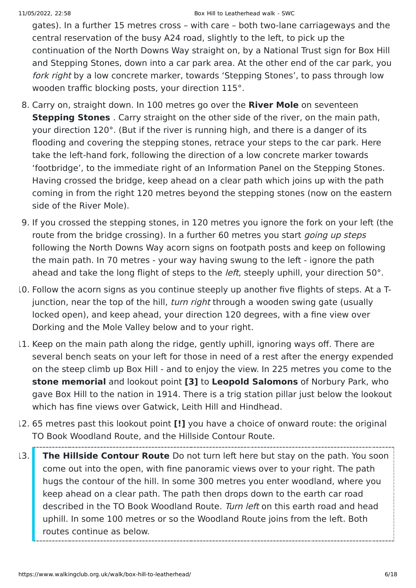gates). In a further 15 metres cross – with care – both two-lane carriageways and the central reservation of the busy A24 road, slightly to the left, to pick up the continuation of the North Downs Way straight on, by a National Trust sign for Box Hill and Stepping Stones, down into a car park area. At the other end of the car park, you fork right by a low concrete marker, towards 'Stepping Stones', to pass through low wooden traffic blocking posts, your direction 115°.

- 8. Carry on, straight down. In 100 metres go over the **River Mole** on seventeen **Stepping Stones** . Carry straight on the other side of the river, on the main path, your direction 120°. (But if the river is running high, and there is a danger of its flooding and covering the stepping stones, retrace your steps to the car park. Here take the left-hand fork, following the direction of a low concrete marker towards 'footbridge', to the immediate right of an Information Panel on the Stepping Stones. Having crossed the bridge, keep ahead on a clear path which joins up with the path coming in from the right 120 metres beyond the stepping stones (now on the eastern side of the River Mole).
- 9. If you crossed the stepping stones, in 120 metres you ignore the fork on your left (the route from the bridge crossing). In a further 60 metres you start *going up steps* following the North Downs Way acorn signs on footpath posts and keep on following the main path. In 70 metres - your way having swung to the left - ignore the path ahead and take the long flight of steps to the *left*, steeply uphill, your direction 50°.
- 10. Follow the acorn signs as you continue steeply up another five flights of steps. At a Tjunction, near the top of the hill, *turn right* through a wooden swing gate (usually locked open), and keep ahead, your direction 120 degrees, with a fine view over Dorking and the Mole Valley below and to your right.
- 11. Keep on the main path along the ridge, gently uphill, ignoring ways off. There are several bench seats on your left for those in need of a rest after the energy expended on the steep climb up Box Hill - and to enjoy the view. In 225 metres you come to the **stone memorial** and lookout point **[3]** to **Leopold Salomons** of Norbury Park, who gave Box Hill to the nation in 1914. There is a trig station pillar just below the lookout which has fine views over Gatwick, Leith Hill and Hindhead.
- 12. 65 metres past this lookout point **[!]** you have a choice of onward route: the original TO Book Woodland Route, and the Hillside Contour Route.
- 13. **The Hillside Contour Route** Do not turn left here but stay on the path. You soon come out into the open, with fine panoramic views over to your right. The path hugs the contour of the hill. In some 300 metres you enter woodland, where you keep ahead on a clear path. The path then drops down to the earth car road described in the TO Book Woodland Route. Turn left on this earth road and head uphill. In some 100 metres or so the Woodland Route joins from the left. Both routes continue as below.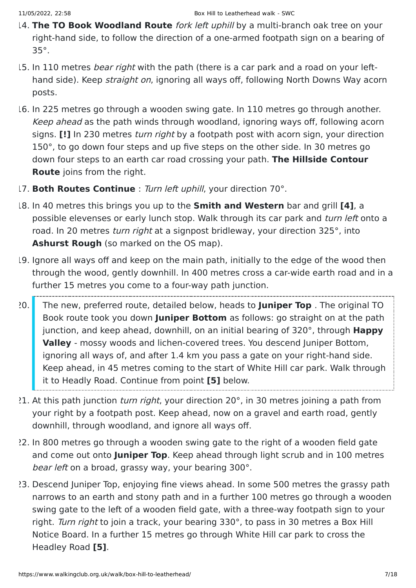- 14. **The TO Book Woodland Route** fork left uphill by a multi-branch oak tree on your right-hand side, to follow the direction of a one-armed footpath sign on a bearing of 35°.
- 15. In 110 metres *bear right* with the path (there is a car park and a road on your lefthand side). Keep *straight on*, ignoring all ways off, following North Downs Way acorn posts.
- 16. In 225 metres go through a wooden swing gate. In 110 metres go through another. Keep ahead as the path winds through woodland, ignoring ways off, following acorn signs. **[!]** In 230 metres turn right by a footpath post with acorn sign, your direction 150°, to go down four steps and up five steps on the other side. In 30 metres go down four steps to an earth car road crossing your path. **The Hillside Contour Route** joins from the right.
- 17. **Both Routes Continue** : Turn left uphill, your direction 70°.
- 18. In 40 metres this brings you up to the **Smith and Western** bar and grill **[4]**, a possible elevenses or early lunch stop. Walk through its car park and turn left onto a road. In 20 metres *turn right* at a signpost bridleway, your direction 325°, into **Ashurst Rough** (so marked on the OS map).
- 19. Ignore all ways off and keep on the main path, initially to the edge of the wood then through the wood, gently downhill. In 400 metres cross a car-wide earth road and in a further 15 metres you come to a four-way path junction.
- 20. The new, preferred route, detailed below, heads to **Juniper Top** . The original TO Book route took you down **Juniper Bottom** as follows: go straight on at the path junction, and keep ahead, downhill, on an initial bearing of 320°, through **Happy Valley** - mossy woods and lichen-covered trees. You descend Juniper Bottom, ignoring all ways of, and after 1.4 km you pass a gate on your right-hand side. Keep ahead, in 45 metres coming to the start of White Hill car park. Walk through it to Headly Road. Continue from point **[5]** below.
- 21. At this path junction *turn right*, your direction 20°, in 30 metres joining a path from your right by a footpath post. Keep ahead, now on a gravel and earth road, gently downhill, through woodland, and ignore all ways off.
- 22. In 800 metres go through a wooden swing gate to the right of a wooden field gate and come out onto **Juniper Top**. Keep ahead through light scrub and in 100 metres bear left on a broad, grassy way, your bearing 300°.
- 23. Descend Juniper Top, enjoying fine views ahead. In some 500 metres the grassy path narrows to an earth and stony path and in a further 100 metres go through a wooden swing gate to the left of a wooden field gate, with a three-way footpath sign to your right. Turn right to join a track, your bearing 330°, to pass in 30 metres a Box Hill Notice Board. In a further 15 metres go through White Hill car park to cross the Headley Road **[5]**.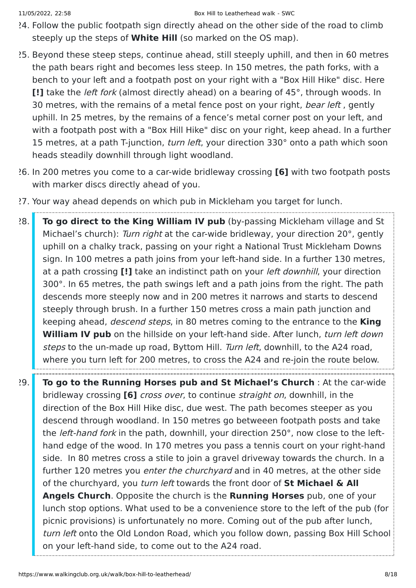- 24. Follow the public footpath sign directly ahead on the other side of the road to climb steeply up the steps of **White Hill** (so marked on the OS map).
- 25. Beyond these steep steps, continue ahead, still steeply uphill, and then in 60 metres the path bears right and becomes less steep. In 150 metres, the path forks, with a bench to your left and a footpath post on your right with a "Box Hill Hike" disc. Here **[!]** take the left fork (almost directly ahead) on a bearing of 45°, through woods. In 30 metres, with the remains of a metal fence post on your right, *bear left*, gently uphill. In 25 metres, by the remains of a fence's metal corner post on your left, and with a footpath post with a "Box Hill Hike" disc on your right, keep ahead. In a further 15 metres, at a path T-junction, *turn left*, your direction 330° onto a path which soon heads steadily downhill through light woodland.
- 26. In 200 metres you come to a car-wide bridleway crossing **[6]** with two footpath posts with marker discs directly ahead of you.
- 27. Your way ahead depends on which pub in Mickleham you target for lunch.
- 28. **To go direct to the King William IV pub** (by-passing Mickleham village and St Michael's church): Turn right at the car-wide bridleway, your direction 20°, gently uphill on a chalky track, passing on your right a National Trust Mickleham Downs sign. In 100 metres a path joins from your left-hand side. In a further 130 metres, at a path crossing **[!]** take an indistinct path on your left downhill, your direction 300°. In 65 metres, the path swings left and a path joins from the right. The path descends more steeply now and in 200 metres it narrows and starts to descend steeply through brush. In a further 150 metres cross a main path junction and keeping ahead, descend steps, in 80 metres coming to the entrance to the **King William IV pub** on the hillside on your left-hand side. After lunch, turn left down steps to the un-made up road, Byttom Hill. Turn left, downhill, to the A24 road, where you turn left for 200 metres, to cross the A24 and re-join the route below.
- 29. **To go to the Running Horses pub and St Michael's Church** : At the car-wide bridleway crossing **[6]** cross over, to continue straight on, downhill, in the direction of the Box Hill Hike disc, due west. The path becomes steeper as you descend through woodland. In 150 metres go betweeen footpath posts and take the *left-hand fork* in the path, downhill, your direction 250°, now close to the lefthand edge of the wood. In 170 metres you pass a tennis court on your right-hand side. In 80 metres cross a stile to join a gravel driveway towards the church. In a further 120 metres you enter the churchyard and in 40 metres, at the other side of the churchyard, you turn left towards the front door of **St Michael & All Angels Church**. Opposite the church is the **Running Horses** pub, one of your lunch stop options. What used to be a convenience store to the left of the pub (for picnic provisions) is unfortunately no more. Coming out of the pub after lunch, turn left onto the Old London Road, which you follow down, passing Box Hill School on your left-hand side, to come out to the A24 road.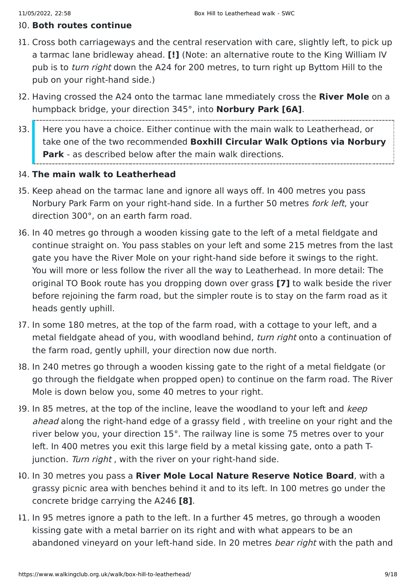#### 30. **Both routes continue**

- 31. Cross both carriageways and the central reservation with care, slightly left, to pick up a tarmac lane bridleway ahead. **[!]** (Note: an alternative route to the King William IV pub is to *turn right* down the A24 for 200 metres, to turn right up Byttom Hill to the pub on your right-hand side.)
- 32. Having crossed the A24 onto the tarmac lane mmediately cross the **River Mole** on a humpback bridge, your direction 345°, into **Norbury Park [6A]**.
- 33. Here you have a choice. Either continue with the main walk to Leatherhead, or take one of the two recommended **Boxhill Circular Walk Options via Norbury Park** - as described below after the main walk directions.

#### 34. **The main walk to Leatherhead**

- 35. Keep ahead on the tarmac lane and ignore all ways off. In 400 metres you pass Norbury Park Farm on your right-hand side. In a further 50 metres *fork left*, your direction 300°, on an earth farm road.
- 36. In 40 metres go through a wooden kissing gate to the left of a metal fieldgate and continue straight on. You pass stables on your left and some 215 metres from the last gate you have the River Mole on your right-hand side before it swings to the right. You will more or less follow the river all the way to Leatherhead. In more detail: The original TO Book route has you dropping down over grass **[7]** to walk beside the river before rejoining the farm road, but the simpler route is to stay on the farm road as it heads gently uphill.
- 37. In some 180 metres, at the top of the farm road, with a cottage to your left, and a metal fieldgate ahead of you, with woodland behind, turn right onto a continuation of the farm road, gently uphill, your direction now due north.
- 38. In 240 metres go through a wooden kissing gate to the right of a metal fieldgate (or go through the fieldgate when propped open) to continue on the farm road. The River Mole is down below you, some 40 metres to your right.
- 39. In 85 metres, at the top of the incline, leave the woodland to your left and keep ahead along the right-hand edge of a grassy field , with treeline on your right and the river below you, your direction 15°. The railway line is some 75 metres over to your left. In 400 metres you exit this large field by a metal kissing gate, onto a path Tjunction. Turn right, with the river on your right-hand side.
- 40. In 30 metres you pass a **River Mole Local Nature Reserve Notice Board**, with a grassy picnic area with benches behind it and to its left. In 100 metres go under the concrete bridge carrying the A246 **[8]**.
- 41. In 95 metres ignore a path to the left. In a further 45 metres, go through a wooden kissing gate with a metal barrier on its right and with what appears to be an abandoned vineyard on your left-hand side. In 20 metres bear right with the path and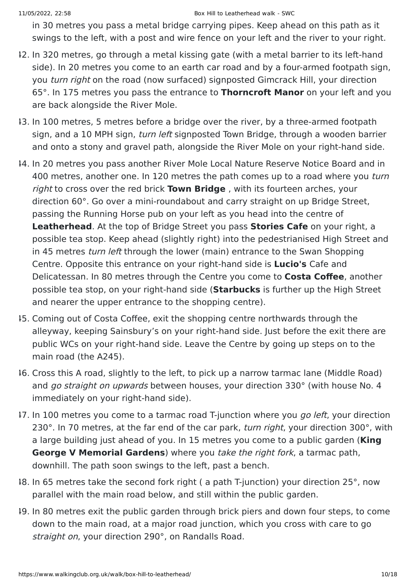in 30 metres you pass a metal bridge carrying pipes. Keep ahead on this path as it swings to the left, with a post and wire fence on your left and the river to your right.

- 42. In 320 metres, go through a metal kissing gate (with a metal barrier to its left-hand side). In 20 metres you come to an earth car road and by a four-armed footpath sign, you turn right on the road (now surfaced) signposted Gimcrack Hill, your direction 65°. In 175 metres you pass the entrance to **Thorncroft Manor** on your left and you are back alongside the River Mole.
- 43. In 100 metres, 5 metres before a bridge over the river, by a three-armed footpath sign, and a 10 MPH sign, *turn left* signposted Town Bridge, through a wooden barrier and onto a stony and gravel path, alongside the River Mole on your right-hand side.
- 44. In 20 metres you pass another River Mole Local Nature Reserve Notice Board and in 400 metres, another one. In 120 metres the path comes up to a road where you turn right to cross over the red brick **Town Bridge** , with its fourteen arches, your direction 60°. Go over a mini-roundabout and carry straight on up Bridge Street, passing the Running Horse pub on your left as you head into the centre of **Leatherhead**. At the top of Bridge Street you pass **Stories Cafe** on your right, a possible tea stop. Keep ahead (slightly right) into the pedestrianised High Street and in 45 metres *turn left* through the lower (main) entrance to the Swan Shopping Centre. Opposite this entrance on your right-hand side is **Lucio's** Cafe and Delicatessan. In 80 metres through the Centre you come to **Costa Coffee**, another possible tea stop, on your right-hand side (**Starbucks** is further up the High Street and nearer the upper entrance to the shopping centre).
- 45. Coming out of Costa Coffee, exit the shopping centre northwards through the alleyway, keeping Sainsbury's on your right-hand side. Just before the exit there are public WCs on your right-hand side. Leave the Centre by going up steps on to the main road (the A245).
- 46. Cross this A road, slightly to the left, to pick up a narrow tarmac lane (Middle Road) and go straight on upwards between houses, your direction 330° (with house No. 4 immediately on your right-hand side).
- 17. In 100 metres you come to a tarmac road T-junction where you go left, your direction 230°. In 70 metres, at the far end of the car park, *turn right*, your direction 300°, with a large building just ahead of you. In 15 metres you come to a public garden (**King George V Memorial Gardens**) where you take the right fork, a tarmac path, downhill. The path soon swings to the left, past a bench.
- 48. In 65 metres take the second fork right ( a path T-junction) your direction 25°, now parallel with the main road below, and still within the public garden.
- 49. In 80 metres exit the public garden through brick piers and down four steps, to come down to the main road, at a major road junction, which you cross with care to go straight on, your direction 290°, on Randalls Road.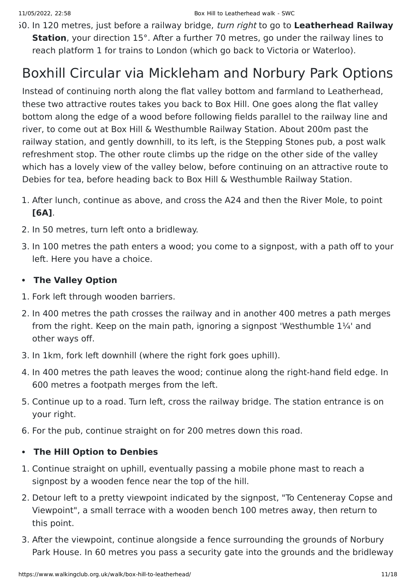50. In 120 metres, just before a railway bridge, turn right to go to **Leatherhead Railway Station**, your direction 15°. After a further 70 metres, go under the railway lines to reach platform 1 for trains to London (which go back to Victoria or Waterloo).

### Boxhill Circular via Mickleham and Norbury Park Options

Instead of continuing north along the flat valley bottom and farmland to Leatherhead, these two attractive routes takes you back to Box Hill. One goes along the flat valley bottom along the edge of a wood before following fields parallel to the railway line and river, to come out at Box Hill & Westhumble Railway Station. About 200m past the railway station, and gently downhill, to its left, is the Stepping Stones pub, a post walk refreshment stop. The other route climbs up the ridge on the other side of the valley which has a lovely view of the valley below, before continuing on an attractive route to Debies for tea, before heading back to Box Hill & Westhumble Railway Station.

- 1. After lunch, continue as above, and cross the A24 and then the River Mole, to point **[6A]**.
- 2. In 50 metres, turn left onto a bridleway.
- 3. In 100 metres the path enters a wood; you come to a signpost, with a path off to your left. Here you have a choice.

### **The Valley Option**

- 1. Fork left through wooden barriers.
- 2. In 400 metres the path crosses the railway and in another 400 metres a path merges from the right. Keep on the main path, ignoring a signpost 'Westhumble 1¼' and other ways off.
- 3. In 1km, fork left downhill (where the right fork goes uphill).
- 4. In 400 metres the path leaves the wood; continue along the right-hand field edge. In 600 metres a footpath merges from the left.
- 5. Continue up to a road. Turn left, cross the railway bridge. The station entrance is on your right.
- 6. For the pub, continue straight on for 200 metres down this road.

### **The Hill Option to Denbies**

- 1. Continue straight on uphill, eventually passing a mobile phone mast to reach a signpost by a wooden fence near the top of the hill.
- 2. Detour left to a pretty viewpoint indicated by the signpost, "To Centeneray Copse and Viewpoint", a small terrace with a wooden bench 100 metres away, then return to this point.
- 3. After the viewpoint, continue alongside a fence surrounding the grounds of Norbury Park House. In 60 metres you pass a security gate into the grounds and the bridleway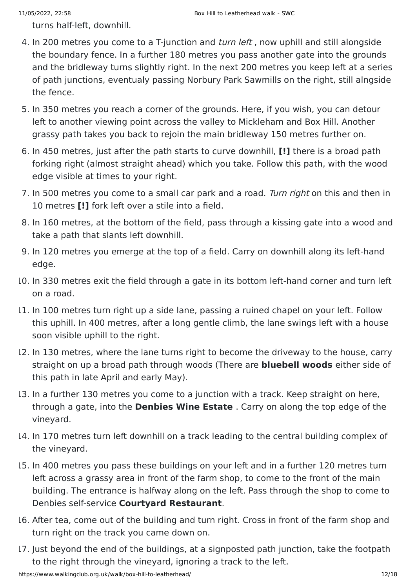turns half-left, downhill.

- 4. In 200 metres you come to a T-junction and *turn left*, now uphill and still alongside the boundary fence. In a further 180 metres you pass another gate into the grounds and the bridleway turns slightly right. In the next 200 metres you keep left at a series of path junctions, eventualy passing Norbury Park Sawmills on the right, still alngside the fence.
- 5. In 350 metres you reach a corner of the grounds. Here, if you wish, you can detour left to another viewing point across the valley to Mickleham and Box Hill. Another grassy path takes you back to rejoin the main bridleway 150 metres further on.
- 6. In 450 metres, just after the path starts to curve downhill, **[!]** there is a broad path forking right (almost straight ahead) which you take. Follow this path, with the wood edge visible at times to your right.
- 7. In 500 metres you come to a small car park and a road. Turn right on this and then in 10 metres **[!]** fork left over a stile into a field.
- 8. In 160 metres, at the bottom of the field, pass through a kissing gate into a wood and take a path that slants left downhill.
- 9. In 120 metres you emerge at the top of a field. Carry on downhill along its left-hand edge.
- 10. In 330 metres exit the field through a gate in its bottom left-hand corner and turn left on a road.
- 11. In 100 metres turn right up a side lane, passing a ruined chapel on your left. Follow this uphill. In 400 metres, after a long gentle climb, the lane swings left with a house soon visible uphill to the right.
- 12. In 130 metres, where the lane turns right to become the driveway to the house, carry straight on up a broad path through woods (There are **bluebell woods** either side of this path in late April and early May).
- 13. In a further 130 metres you come to a junction with a track. Keep straight on here, through a gate, into the **Denbies Wine Estate** . Carry on along the top edge of the vineyard.
- 14. In 170 metres turn left downhill on a track leading to the central building complex of the vineyard.
- 15. In 400 metres you pass these buildings on your left and in a further 120 metres turn left across a grassy area in front of the farm shop, to come to the front of the main building. The entrance is halfway along on the left. Pass through the shop to come to Denbies self-service **Courtyard Restaurant**.
- 16. After tea, come out of the building and turn right. Cross in front of the farm shop and turn right on the track you came down on.
- 17. Just beyond the end of the buildings, at a signposted path junction, take the footpath to the right through the vineyard, ignoring a track to the left.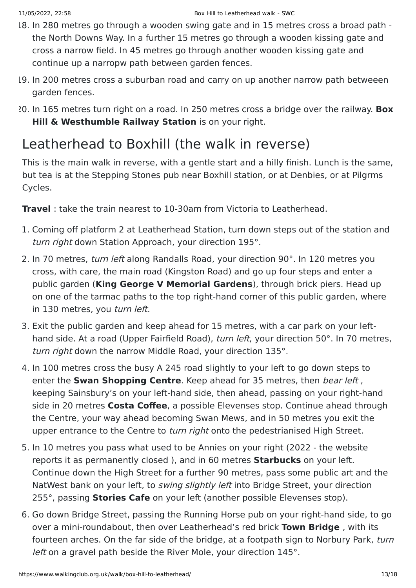- 18. In 280 metres go through a wooden swing gate and in 15 metres cross a broad path the North Downs Way. In a further 15 metres go through a wooden kissing gate and cross a narrow field. In 45 metres go through another wooden kissing gate and continue up a narropw path between garden fences.
- 19. In 200 metres cross a suburban road and carry on up another narrow path betweeen garden fences.
- 20. In 165 metres turn right on a road. In 250 metres cross a bridge over the railway. **Box Hill & Westhumble Railway Station** is on your right.

### Leatherhead to Boxhill (the walk in reverse)

This is the main walk in reverse, with a gentle start and a hilly finish. Lunch is the same, but tea is at the Stepping Stones pub near Boxhill station, or at Denbies, or at Pilgrms Cycles.

**Travel** : take the train nearest to 10-30am from Victoria to Leatherhead.

- 1. Coming off platform 2 at Leatherhead Station, turn down steps out of the station and turn right down Station Approach, your direction 195°.
- 2. In 70 metres, turn left along Randalls Road, your direction 90°. In 120 metres you cross, with care, the main road (Kingston Road) and go up four steps and enter a public garden (**King George V Memorial Gardens**), through brick piers. Head up on one of the tarmac paths to the top right-hand corner of this public garden, where in 130 metres, you turn left.
- 3. Exit the public garden and keep ahead for 15 metres, with a car park on your lefthand side. At a road (Upper Fairfield Road), *turn left*, your direction 50°. In 70 metres, turn right down the narrow Middle Road, your direction 135°.
- 4. In 100 metres cross the busy A 245 road slightly to your left to go down steps to enter the **Swan Shopping Centre**. Keep ahead for 35 metres, then bear left , keeping Sainsbury's on your left-hand side, then ahead, passing on your right-hand side in 20 metres **Costa Coffee**, a possible Elevenses stop. Continue ahead through the Centre, your way ahead becoming Swan Mews, and in 50 metres you exit the upper entrance to the Centre to turn right onto the pedestrianised High Street.
- 5. In 10 metres you pass what used to be Annies on your right (2022 the website reports it as permanently closed ), and in 60 metres **Starbucks** on your left. Continue down the High Street for a further 90 metres, pass some public art and the NatWest bank on your left, to *swing slightly left* into Bridge Street, your direction 255°, passing **Stories Cafe** on your left (another possible Elevenses stop).
- 6. Go down Bridge Street, passing the Running Horse pub on your right-hand side, to go over a mini-roundabout, then over Leatherhead's red brick **Town Bridge** , with its fourteen arches. On the far side of the bridge, at a footpath sign to Norbury Park, turn left on a gravel path beside the River Mole, your direction 145°.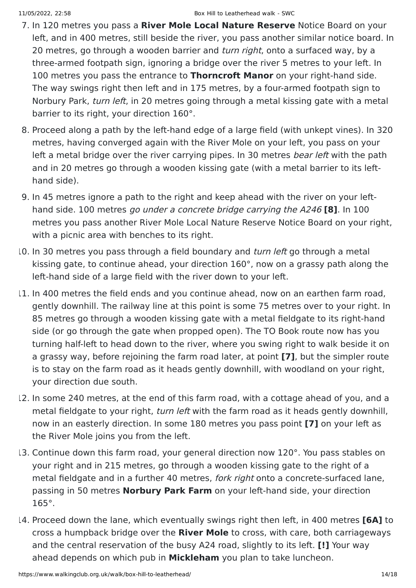- 7. In 120 metres you pass a **River Mole Local Nature Reserve** Notice Board on your left, and in 400 metres, still beside the river, you pass another similar notice board. In 20 metres, go through a wooden barrier and *turn right*, onto a surfaced way, by a three-armed footpath sign, ignoring a bridge over the river 5 metres to your left. In 100 metres you pass the entrance to **Thorncroft Manor** on your right-hand side. The way swings right then left and in 175 metres, by a four-armed footpath sign to Norbury Park, turn left, in 20 metres going through a metal kissing gate with a metal barrier to its right, your direction 160°.
- 8. Proceed along a path by the left-hand edge of a large field (with unkept vines). In 320 metres, having converged again with the River Mole on your left, you pass on your left a metal bridge over the river carrying pipes. In 30 metres *bear left* with the path and in 20 metres go through a wooden kissing gate (with a metal barrier to its lefthand side).
- 9. In 45 metres ignore a path to the right and keep ahead with the river on your lefthand side. 100 metres go under a concrete bridge carrying the A246 **[8]**. In 100 metres you pass another River Mole Local Nature Reserve Notice Board on your right, with a picnic area with benches to its right.
- 10. In 30 metres you pass through a field boundary and *turn left* go through a metal kissing gate, to continue ahead, your direction 160°, now on a grassy path along the left-hand side of a large field with the river down to your left.
- 11. In 400 metres the field ends and you continue ahead, now on an earthen farm road, gently downhill. The railway line at this point is some 75 metres over to your right. In 85 metres go through a wooden kissing gate with a metal fieldgate to its right-hand side (or go through the gate when propped open). The TO Book route now has you turning half-left to head down to the river, where you swing right to walk beside it on a grassy way, before rejoining the farm road later, at point **[7]**, but the simpler route is to stay on the farm road as it heads gently downhill, with woodland on your right, your direction due south.
- 12. In some 240 metres, at the end of this farm road, with a cottage ahead of you, and a metal fieldgate to your right, turn left with the farm road as it heads gently downhill, now in an easterly direction. In some 180 metres you pass point **[7]** on your left as the River Mole joins you from the left.
- 13. Continue down this farm road, your general direction now 120°. You pass stables on your right and in 215 metres, go through a wooden kissing gate to the right of a metal fieldgate and in a further 40 metres, *fork right* onto a concrete-surfaced lane, passing in 50 metres **Norbury Park Farm** on your left-hand side, your direction 165°.
- 14. Proceed down the lane, which eventually swings right then left, in 400 metres **[6A]** to cross a humpback bridge over the **River Mole** to cross, with care, both carriageways and the central reservation of the busy A24 road, slightly to its left. **[!]** Your way ahead depends on which pub in **Mickleham** you plan to take luncheon.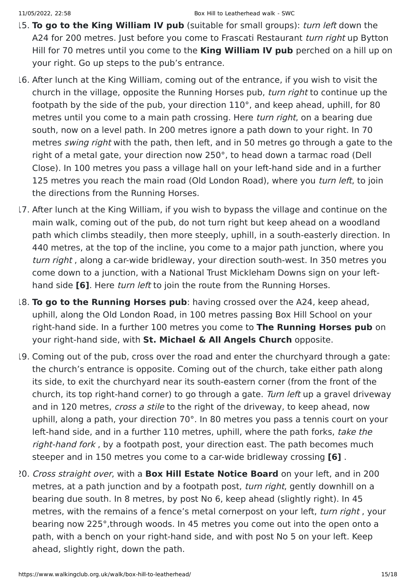- 15. **To go to the King William IV pub** (suitable for small groups): turn left down the A24 for 200 metres. Just before you come to Frascati Restaurant turn right up Bytton Hill for 70 metres until you come to the **King William IV pub** perched on a hill up on your right. Go up steps to the pub's entrance.
- 16. After lunch at the King William, coming out of the entrance, if you wish to visit the church in the village, opposite the Running Horses pub, turn right to continue up the footpath by the side of the pub, your direction 110°, and keep ahead, uphill, for 80 metres until you come to a main path crossing. Here *turn right*, on a bearing due south, now on a level path. In 200 metres ignore a path down to your right. In 70 metres *swing right* with the path, then left, and in 50 metres go through a gate to the right of a metal gate, your direction now 250°, to head down a tarmac road (Dell Close). In 100 metres you pass a village hall on your left-hand side and in a further 125 metres you reach the main road (Old London Road), where you turn left, to join the directions from the Running Horses.
- 17. After lunch at the King William, if you wish to bypass the village and continue on the main walk, coming out of the pub, do not turn right but keep ahead on a woodland path which climbs steadily, then more steeply, uphill, in a south-easterly direction. In 440 metres, at the top of the incline, you come to a major path junction, where you turn right , along a car-wide bridleway, your direction south-west. In 350 metres you come down to a junction, with a National Trust Mickleham Downs sign on your lefthand side **[6]**. Here turn left to join the route from the Running Horses.
- 18. **To go to the Running Horses pub**: having crossed over the A24, keep ahead, uphill, along the Old London Road, in 100 metres passing Box Hill School on your right-hand side. In a further 100 metres you come to **The Running Horses pub** on your right-hand side, with **St. Michael & All Angels Church** opposite.
- 19. Coming out of the pub, cross over the road and enter the churchyard through a gate: the church's entrance is opposite. Coming out of the church, take either path along its side, to exit the churchyard near its south-eastern corner (from the front of the church, its top right-hand corner) to go through a gate. Turn left up a gravel driveway and in 120 metres, cross a stile to the right of the driveway, to keep ahead, now uphill, along a path, your direction 70°. In 80 metres you pass a tennis court on your left-hand side, and in a further 110 metres, uphill, where the path forks, take the right-hand fork, by a footpath post, your direction east. The path becomes much steeper and in 150 metres you come to a car-wide bridleway crossing **[6]** .
- 20. Cross straight over, with a **Box Hill Estate Notice Board** on your left, and in 200 metres, at a path junction and by a footpath post, *turn right*, gently downhill on a bearing due south. In 8 metres, by post No 6, keep ahead (slightly right). In 45 metres, with the remains of a fence's metal cornerpost on your left, turn right, your bearing now 225°,through woods. In 45 metres you come out into the open onto a path, with a bench on your right-hand side, and with post No 5 on your left. Keep ahead, slightly right, down the path.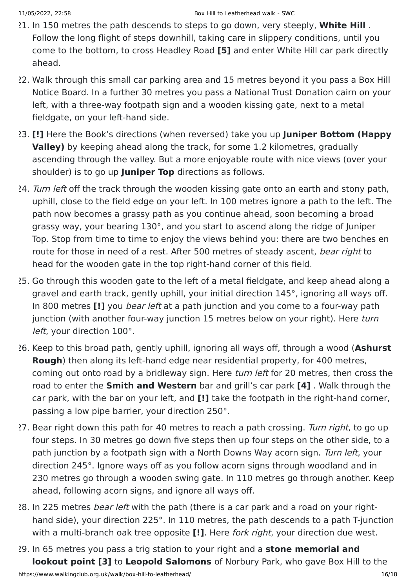- 21. In 150 metres the path descends to steps to go down, very steeply, **White Hill** . Follow the long flight of steps downhill, taking care in slippery conditions, until you come to the bottom, to cross Headley Road **[5]** and enter White Hill car park directly ahead.
- 22. Walk through this small car parking area and 15 metres beyond it you pass a Box Hill Notice Board. In a further 30 metres you pass a National Trust Donation cairn on your left, with a three-way footpath sign and a wooden kissing gate, next to a metal fieldgate, on your left-hand side.
- 23. **[!]** Here the Book's directions (when reversed) take you up **Juniper Bottom (Happy Valley)** by keeping ahead along the track, for some 1.2 kilometres, gradually ascending through the valley. But a more enjoyable route with nice views (over your shoulder) is to go up **Juniper Top** directions as follows.
- 24. Turn left off the track through the wooden kissing gate onto an earth and stony path, uphill, close to the field edge on your left. In 100 metres ignore a path to the left. The path now becomes a grassy path as you continue ahead, soon becoming a broad grassy way, your bearing 130°, and you start to ascend along the ridge of Juniper Top. Stop from time to time to enjoy the views behind you: there are two benches en route for those in need of a rest. After 500 metres of steady ascent, bear right to head for the wooden gate in the top right-hand corner of this field.
- 25. Go through this wooden gate to the left of a metal fieldgate, and keep ahead along a gravel and earth track, gently uphill, your initial direction 145°, ignoring all ways off. In 800 metres **[!]** you bear left at a path junction and you come to a four-way path junction (with another four-way junction 15 metres below on your right). Here turn left, your direction 100°.
- 26. Keep to this broad path, gently uphill, ignoring all ways off, through a wood (**Ashurst Rough**) then along its left-hand edge near residential property, for 400 metres, coming out onto road by a bridleway sign. Here turn left for 20 metres, then cross the road to enter the **Smith and Western** bar and grill's car park **[4]** . Walk through the car park, with the bar on your left, and **[!]** take the footpath in the right-hand corner, passing a low pipe barrier, your direction 250°.
- 27. Bear right down this path for 40 metres to reach a path crossing. Turn right, to go up four steps. In 30 metres go down five steps then up four steps on the other side, to a path junction by a footpath sign with a North Downs Way acorn sign. Turn left, your direction 245°. Ignore ways off as you follow acorn signs through woodland and in 230 metres go through a wooden swing gate. In 110 metres go through another. Keep ahead, following acorn signs, and ignore all ways off.
- 28. In 225 metres *bear left* with the path (there is a car park and a road on your righthand side), your direction 225°. In 110 metres, the path descends to a path T-junction with a multi-branch oak tree opposite **[!]**. Here fork right, your direction due west.
- 29. In 65 metres you pass a trig station to your right and a **stone memorial and lookout point [3]** to **Leopold Salomons** of Norbury Park, who gave Box Hill to the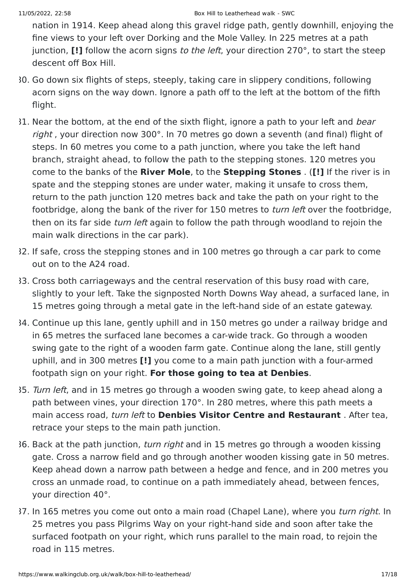nation in 1914. Keep ahead along this gravel ridge path, gently downhill, enjoying the fine views to your left over Dorking and the Mole Valley. In 225 metres at a path junction, **[!]** follow the acorn signs to the left, your direction 270°, to start the steep descent off Box Hill.

- 30. Go down six flights of steps, steeply, taking care in slippery conditions, following acorn signs on the way down. Ignore a path off to the left at the bottom of the fifth flight.
- 31. Near the bottom, at the end of the sixth flight, ignore a path to your left and bear right , your direction now 300°. In 70 metres go down a seventh (and final) flight of steps. In 60 metres you come to a path junction, where you take the left hand branch, straight ahead, to follow the path to the stepping stones. 120 metres you come to the banks of the **River Mole**, to the **Stepping Stones** . (**[!]** If the river is in spate and the stepping stones are under water, making it unsafe to cross them, return to the path junction 120 metres back and take the path on your right to the footbridge, along the bank of the river for 150 metres to *turn left* over the footbridge, then on its far side *turn left* again to follow the path through woodland to rejoin the main walk directions in the car park).
- 32. If safe, cross the stepping stones and in 100 metres go through a car park to come out on to the A24 road.
- 33. Cross both carriageways and the central reservation of this busy road with care, slightly to your left. Take the signposted North Downs Way ahead, a surfaced lane, in 15 metres going through a metal gate in the left-hand side of an estate gateway.
- 34. Continue up this lane, gently uphill and in 150 metres go under a railway bridge and in 65 metres the surfaced lane becomes a car-wide track. Go through a wooden swing gate to the right of a wooden farm gate. Continue along the lane, still gently uphill, and in 300 metres **[!]** you come to a main path junction with a four-armed footpath sign on your right. **For those going to tea at Denbies**.
- 35. Turn left, and in 15 metres go through a wooden swing gate, to keep ahead along a path between vines, your direction 170°. In 280 metres, where this path meets a main access road, turn left to **Denbies Visitor Centre and Restaurant** . After tea, retrace your steps to the main path junction.
- 36. Back at the path junction, turn right and in 15 metres go through a wooden kissing gate. Cross a narrow field and go through another wooden kissing gate in 50 metres. Keep ahead down a narrow path between a hedge and fence, and in 200 metres you cross an unmade road, to continue on a path immediately ahead, between fences, your direction 40°.
- 37. In 165 metres you come out onto a main road (Chapel Lane), where you turn right. In 25 metres you pass Pilgrims Way on your right-hand side and soon after take the surfaced footpath on your right, which runs parallel to the main road, to rejoin the road in 115 metres.